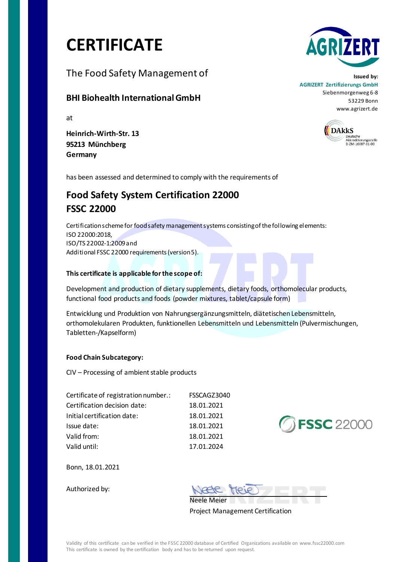# **CERTIFICATE**

The Food Safety Management of

### **BHI Biohealth International GmbH**

at

**Heinrich-Wirth-Str. 13 95213 Münchberg Germany** 



**Issued by: AGRIZERT Zertifizierungs GmbH** Siebenmorgenweg 6-8 53229 Bonn www.agrizert.de



has been assessed and determined to comply with the requirements of

## **Food Safety System Certification 22000 FSSC 22000**

Certification scheme for food safety management systems consisting of the following elements: ISO 22000:2018, ISO/TS 22002-1:2009 and Additional FSSC 22000 requirements (version 5).

#### **This certificate is applicable for the scope of:**

Development and production of dietary supplements, dietary foods, orthomolecular products, functional food products and foods (powder mixtures, tablet/capsule form)

Entwicklung und Produktion von Nahrungsergänzungsmitteln, diätetischen Lebensmitteln, orthomolekularen Produkten, funktionellen Lebensmitteln und Lebensmitteln (Pulvermischungen, Tabletten-/Kapselform)

#### **Food Chain Subcategory:**

CIV – Processing of ambient stable products

| Certificate of registration number.: | FSSCAGZ3040 |  |
|--------------------------------------|-------------|--|
| Certification decision date:         | 18.01.2021  |  |
| Initial certification date:          | 18.01.2021  |  |
| Issue date:                          | 18.01.2021  |  |
| Valid from:                          | 18.01.2021  |  |
| Valid until:                         | 17.01.2024  |  |



Bonn, 18.01.2021

Authorized by:

NESE PREJET Neele Meier

Project Management Certification